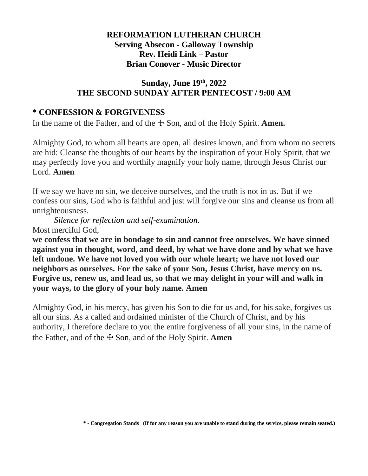# **REFORMATION LUTHERAN CHURCH Serving Absecon - Galloway Township Rev. Heidi Link – Pastor Brian Conover - Music Director**

### **Sunday, June 19 th, 2022 THE SECOND SUNDAY AFTER PENTECOST / 9:00 AM**

# **\* CONFESSION & FORGIVENESS**

In the name of the Father, and of the  $\pm$  Son, and of the Holy Spirit. **Amen.** 

Almighty God, to whom all hearts are open, all desires known, and from whom no secrets are hid: Cleanse the thoughts of our hearts by the inspiration of your Holy Spirit, that we may perfectly love you and worthily magnify your holy name, through Jesus Christ our Lord. **Amen**

If we say we have no sin, we deceive ourselves, and the truth is not in us. But if we confess our sins, God who is faithful and just will forgive our sins and cleanse us from all unrighteousness.

*Silence for reflection and self-examination.* Most merciful God,

**we confess that we are in bondage to sin and cannot free ourselves. We have sinned against you in thought, word, and deed, by what we have done and by what we have left undone. We have not loved you with our whole heart; we have not loved our neighbors as ourselves. For the sake of your Son, Jesus Christ, have mercy on us. Forgive us, renew us, and lead us, so that we may delight in your will and walk in your ways, to the glory of your holy name. Amen**

Almighty God, in his mercy, has given his Son to die for us and, for his sake, forgives us all our sins. As a called and ordained minister of the Church of Christ, and by his authority, I therefore declare to you the entire forgiveness of all your sins, in the name of the Father, and of the ☩ Son, and of the Holy Spirit. **Amen**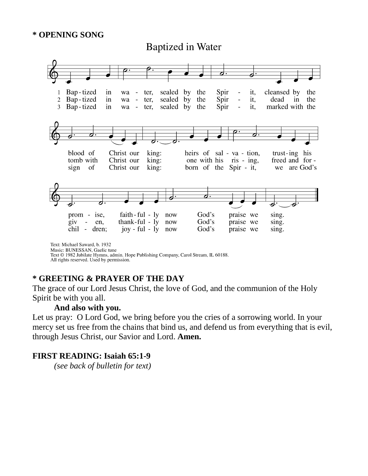#### **\* OPENING SONG**

**Baptized in Water** 



Text © 1982 Jubilate Hymns, admin. Hope Publishing Company, Carol Stream, IL 60188.

#### All rights reserved. Used by permission.

#### **\* GREETING & PRAYER OF THE DAY**

The grace of our Lord Jesus Christ, the love of God, and the communion of the Holy Spirit be with you all.

#### **And also with you.**

Let us pray: O Lord God, we bring before you the cries of a sorrowing world. In your mercy set us free from the chains that bind us, and defend us from everything that is evil, through Jesus Christ, our Savior and Lord. **Amen.**

#### **FIRST READING: Isaiah 65:1-9**

*(see back of bulletin for text)*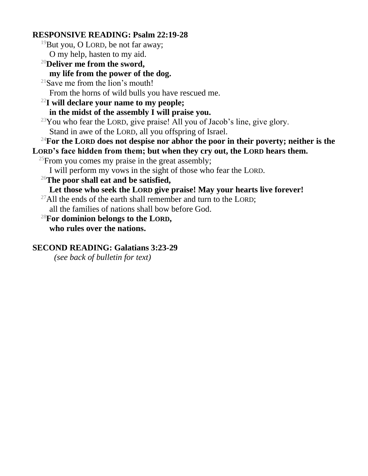#### **RESPONSIVE READING: Psalm 22:19-28**

- <sup>19</sup>But you, O LORD, be not far away; O my help, hasten to my aid.
- <sup>20</sup>**Deliver me from the sword, my life from the power of the dog.**
- $21$ Save me from the lion's mouth! From the horns of wild bulls you have rescued me.
- <sup>22</sup>**I will declare your name to my people; in the midst of the assembly I will praise you.**

 $23$ You who fear the LORD, give praise! All you of Jacob's line, give glory. Stand in awe of the LORD, all you offspring of Israel.

#### <sup>24</sup>**For the LORD does not despise nor abhor the poor in their poverty; neither is the LORD's face hidden from them; but when they cry out, the LORD hears them.**

- <sup>25</sup>From you comes my praise in the great assembly;
	- I will perform my vows in the sight of those who fear the LORD.
- <sup>26</sup>**The poor shall eat and be satisfied,**
	- **Let those who seek the LORD give praise! May your hearts live forever!**
- <sup>27</sup>All the ends of the earth shall remember and turn to the LORD:
- all the families of nations shall bow before God.
- <sup>28</sup>**For dominion belongs to the LORD, who rules over the nations.**

# **SECOND READING: Galatians 3:23-29**

*(see back of bulletin for text)*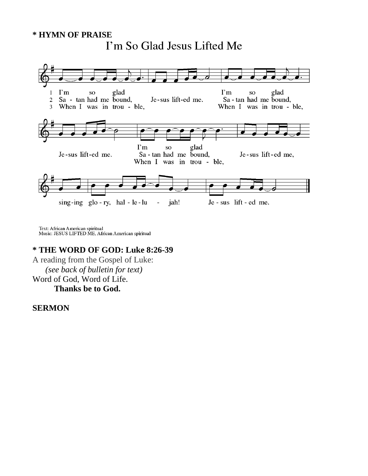# **\* HYMN OF PRAISE**



Text: African American spiritual<br>Music: JESUS LIFTED ME, African American spiritual

#### **\* THE WORD OF GOD: Luke 8:26-39**

A reading from the Gospel of Luke: *(see back of bulletin for text)* Word of God, Word of Life. **Thanks be to God.**

#### **SERMON**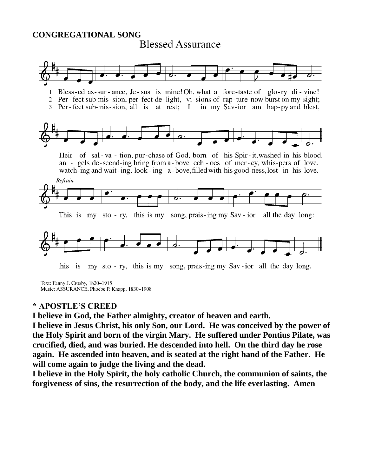# **CONGREGATIONAL SONG Blessed Assurance**



my sto - ry, this is my song, prais-ing my Sav-ior all the day long. this is

Text: Fanny J. Crosby, 1820-1915 Music: ASSURANCE, Phoebe P. Knapp, 1830-1908

#### **\* APOSTLE'S CREED**

**I believe in God, the Father almighty, creator of heaven and earth.** 

**I believe in Jesus Christ, his only Son, our Lord. He was conceived by the power of the Holy Spirit and born of the virgin Mary. He suffered under Pontius Pilate, was crucified, died, and was buried. He descended into hell. On the third day he rose again. He ascended into heaven, and is seated at the right hand of the Father. He will come again to judge the living and the dead.**

**I believe in the Holy Spirit, the holy catholic Church, the communion of saints, the forgiveness of sins, the resurrection of the body, and the life everlasting. Amen**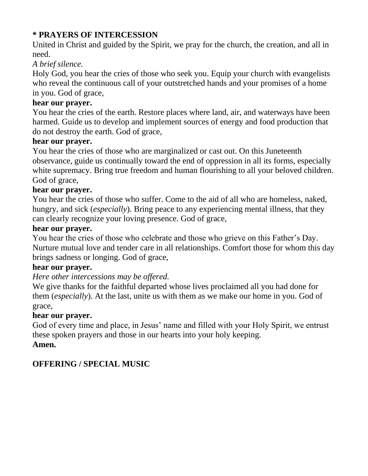# **\* PRAYERS OF INTERCESSION**

United in Christ and guided by the Spirit, we pray for the church, the creation, and all in need.

# *A brief silence.*

Holy God, you hear the cries of those who seek you. Equip your church with evangelists who reveal the continuous call of your outstretched hands and your promises of a home in you. God of grace,

# **hear our prayer.**

You hear the cries of the earth. Restore places where land, air, and waterways have been harmed. Guide us to develop and implement sources of energy and food production that do not destroy the earth. God of grace,

# **hear our prayer.**

You hear the cries of those who are marginalized or cast out. On this Juneteenth observance, guide us continually toward the end of oppression in all its forms, especially white supremacy. Bring true freedom and human flourishing to all your beloved children. God of grace,

# **hear our prayer.**

You hear the cries of those who suffer. Come to the aid of all who are homeless, naked, hungry, and sick (*especially*). Bring peace to any experiencing mental illness, that they can clearly recognize your loving presence. God of grace,

# **hear our prayer.**

You hear the cries of those who celebrate and those who grieve on this Father's Day. Nurture mutual love and tender care in all relationships. Comfort those for whom this day brings sadness or longing. God of grace,

#### **hear our prayer.**

#### *Here other intercessions may be offered.*

We give thanks for the faithful departed whose lives proclaimed all you had done for them (*especially*). At the last, unite us with them as we make our home in you. God of grace,

#### **hear our prayer.**

God of every time and place, in Jesus' name and filled with your Holy Spirit, we entrust these spoken prayers and those in our hearts into your holy keeping. **Amen.**

# **OFFERING / SPECIAL MUSIC**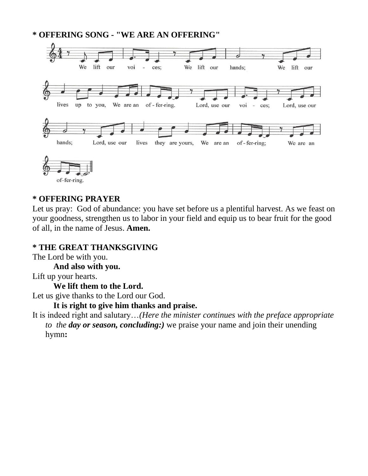**\* OFFERING SONG - "WE ARE AN OFFERING"**



#### of-fer-ring.

#### **\* OFFERING PRAYER**

Let us pray: God of abundance: you have set before us a plentiful harvest. As we feast on your goodness, strengthen us to labor in your field and equip us to bear fruit for the good of all, in the name of Jesus. **Amen.**

#### **\* THE GREAT THANKSGIVING**

The Lord be with you.

 **And also with you.**

Lift up your hearts.

 **We lift them to the Lord.**

Let us give thanks to the Lord our God.

 **It is right to give him thanks and praise.**

It is indeed right and salutary…*(Here the minister continues with the preface appropriate to the day or season, concluding:)* we praise your name and join their unending hymn**:**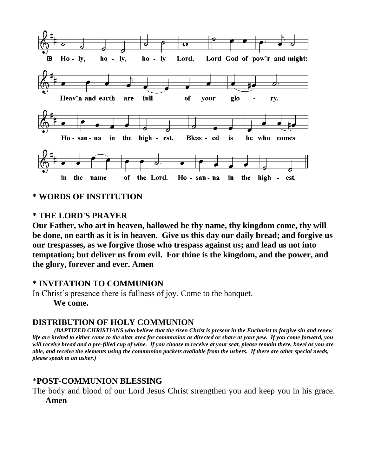

**\* WORDS OF INSTITUTION**

### **\* THE LORD'S PRAYER**

**Our Father, who art in heaven, hallowed be thy name, thy kingdom come, thy will be done, on earth as it is in heaven. Give us this day our daily bread; and forgive us our trespasses, as we forgive those who trespass against us; and lead us not into temptation; but deliver us from evil. For thine is the kingdom, and the power, and the glory, forever and ever. Amen**

#### **\* INVITATION TO COMMUNION**

In Christ's presence there is fullness of joy. Come to the banquet.  **We come.**

#### **DISTRIBUTION OF HOLY COMMUNION**

*(BAPTIZED CHRISTIANS who believe that the risen Christ is present in the Eucharist to forgive sin and renew life are invited to either come to the altar area for communion as directed or share at your pew. If you come forward, you will receive bread and a pre-filled cup of wine. If you choose to receive at your seat, please remain there, kneel as you are able, and receive the elements using the communion packets available from the ushers. If there are other special needs, please speak to an usher.)*

#### \***POST-COMMUNION BLESSING**

The body and blood of our Lord Jesus Christ strengthen you and keep you in his grace.

**Amen**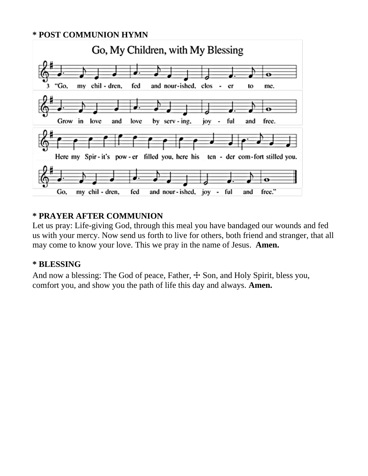#### **\* POST COMMUNION HYMN**



# **\* PRAYER AFTER COMMUNION**

Let us pray: Life-giving God, through this meal you have bandaged our wounds and fed us with your mercy. Now send us forth to live for others, both friend and stranger, that all may come to know your love. This we pray in the name of Jesus. **Amen.**

#### **\* BLESSING**

And now a blessing: The God of peace, Father,  $\pm$  Son, and Holy Spirit, bless you, comfort you, and show you the path of life this day and always. **Amen.**